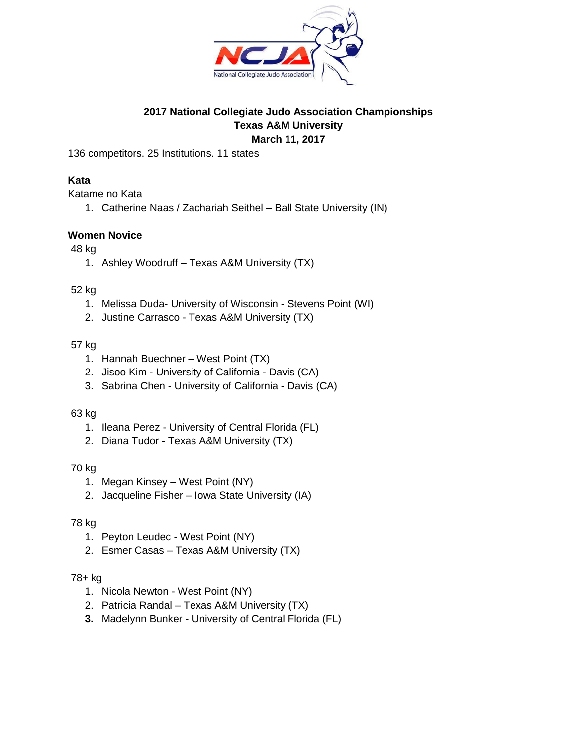

## **2017 National Collegiate Judo Association Championships Texas A&M University March 11, 2017**

136 competitors. 25 Institutions. 11 states

## **Kata**

Katame no Kata

1. Catherine Naas / Zachariah Seithel – Ball State University (IN)

## **Women Novice**

## 48 kg

1. Ashley Woodruff – Texas A&M University (TX)

## 52 kg

- 1. Melissa Duda- University of Wisconsin Stevens Point (WI)
- 2. Justine Carrasco Texas A&M University (TX)

## 57 kg

- 1. Hannah Buechner West Point (TX)
- 2. Jisoo Kim University of California Davis (CA)
- 3. Sabrina Chen University of California Davis (CA)

## 63 kg

- 1. Ileana Perez University of Central Florida (FL)
- 2. Diana Tudor Texas A&M University (TX)

## 70 kg

- 1. Megan Kinsey West Point (NY)
- 2. Jacqueline Fisher Iowa State University (IA)

## 78 kg

- 1. Peyton Leudec West Point (NY)
- 2. Esmer Casas Texas A&M University (TX)

- 1. Nicola Newton West Point (NY)
- 2. Patricia Randal Texas A&M University (TX)
- **3.** Madelynn Bunker University of Central Florida (FL)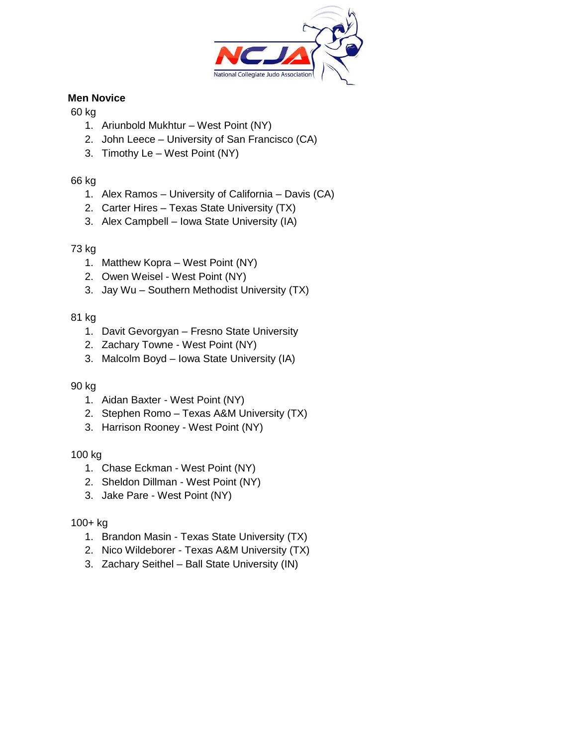

# **Men Novice**

## 60 kg

- 1. Ariunbold Mukhtur West Point (NY)
- 2. John Leece University of San Francisco (CA)
- 3. Timothy Le West Point (NY)

# 66 kg

- 1. Alex Ramos University of California Davis (CA)
- 2. Carter Hires Texas State University (TX)
- 3. Alex Campbell Iowa State University (IA)

# 73 kg

- 1. Matthew Kopra West Point (NY)
- 2. Owen Weisel West Point (NY)
- 3. Jay Wu Southern Methodist University (TX)

# 81 kg

- 1. Davit Gevorgyan Fresno State University
- 2. Zachary Towne West Point (NY)
- 3. Malcolm Boyd Iowa State University (IA)

## 90 kg

- 1. Aidan Baxter West Point (NY)
- 2. Stephen Romo Texas A&M University (TX)
- 3. Harrison Rooney West Point (NY)

## 100 kg

- 1. Chase Eckman West Point (NY)
- 2. Sheldon Dillman West Point (NY)
- 3. Jake Pare West Point (NY)

- 1. Brandon Masin Texas State University (TX)
- 2. Nico Wildeborer Texas A&M University (TX)
- 3. Zachary Seithel Ball State University (IN)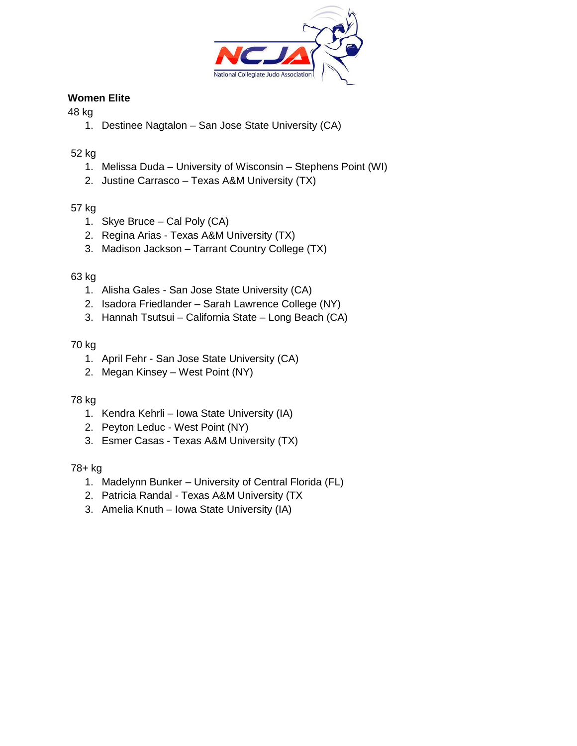

# **Women Elite**

## 48 kg

1. Destinee Nagtalon – San Jose State University (CA)

# 52 kg

- 1. Melissa Duda University of Wisconsin Stephens Point (WI)
- 2. Justine Carrasco Texas A&M University (TX)

# 57 kg

- 1. Skye Bruce Cal Poly (CA)
- 2. Regina Arias Texas A&M University (TX)
- 3. Madison Jackson Tarrant Country College (TX)

## 63 kg

- 1. Alisha Gales San Jose State University (CA)
- 2. Isadora Friedlander Sarah Lawrence College (NY)
- 3. Hannah Tsutsui California State Long Beach (CA)

## 70 kg

- 1. April Fehr San Jose State University (CA)
- 2. Megan Kinsey West Point (NY)

## 78 kg

- 1. Kendra Kehrli Iowa State University (IA)
- 2. Peyton Leduc West Point (NY)
- 3. Esmer Casas Texas A&M University (TX)

- 1. Madelynn Bunker University of Central Florida (FL)
- 2. Patricia Randal Texas A&M University (TX
- 3. Amelia Knuth Iowa State University (IA)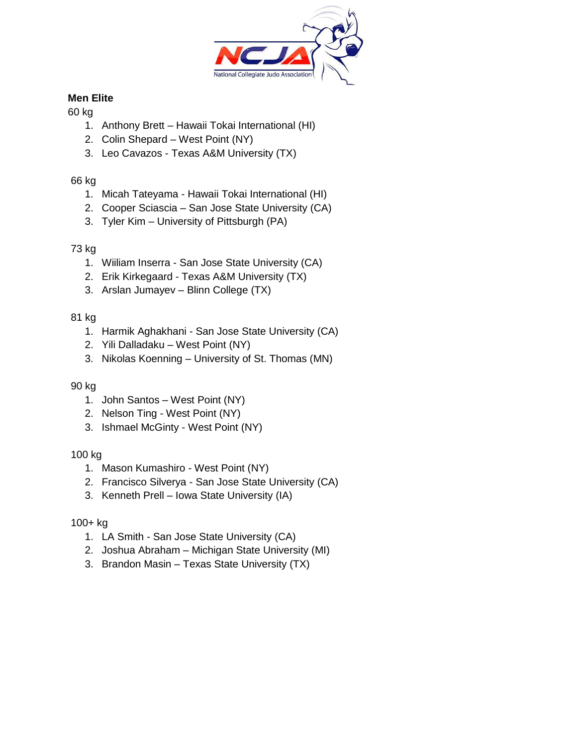

# **Men Elite**

# 60 kg

- 1. Anthony Brett Hawaii Tokai International (HI)
- 2. Colin Shepard West Point (NY)
- 3. Leo Cavazos Texas A&M University (TX)

# 66 kg

- 1. Micah Tateyama Hawaii Tokai International (HI)
- 2. Cooper Sciascia San Jose State University (CA)
- 3. Tyler Kim University of Pittsburgh (PA)

## 73 kg

- 1. Wiiliam Inserra San Jose State University (CA)
- 2. Erik Kirkegaard Texas A&M University (TX)
- 3. Arslan Jumayev Blinn College (TX)

# 81 kg

- 1. Harmik Aghakhani San Jose State University (CA)
- 2. Yili Dalladaku West Point (NY)
- 3. Nikolas Koenning University of St. Thomas (MN)

## 90 kg

- 1. John Santos West Point (NY)
- 2. Nelson Ting West Point (NY)
- 3. Ishmael McGinty West Point (NY)

## 100 kg

- 1. Mason Kumashiro West Point (NY)
- 2. Francisco Silverya San Jose State University (CA)
- 3. Kenneth Prell Iowa State University (IA)

- 1. LA Smith San Jose State University (CA)
- 2. Joshua Abraham Michigan State University (MI)
- 3. Brandon Masin Texas State University (TX)